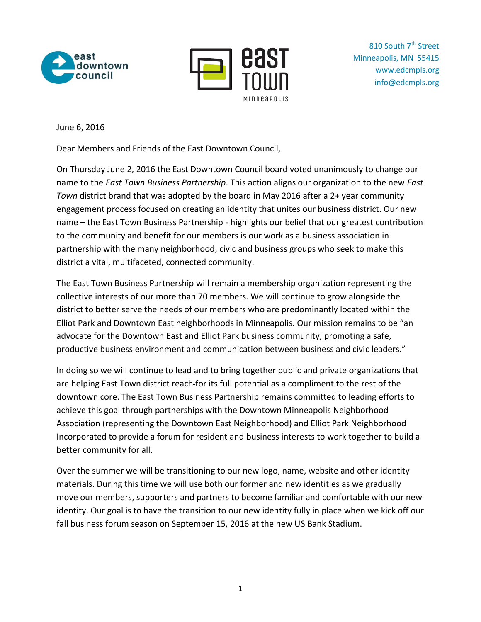



810 South 7<sup>th</sup> Street Minneapolis, MN 55415 [www.edcmpls.org](http://www.edcmpls.org/) [info@edcmpls.org](mailto:info@edcmpls.org)

June 6, 2016

Dear Members and Friends of the East Downtown Council,

On Thursday June 2, 2016 the East Downtown Council board voted unanimously to change our name to the *East Town Business Partnership*. This action aligns our organization to the new *East Town* district brand that was adopted by the board in May 2016 after a 2+ year community engagement process focused on creating an identity that unites our business district. Our new name – the East Town Business Partnership - highlights our belief that our greatest contribution to the community and benefit for our members is our work as a business association in partnership with the many neighborhood, civic and business groups who seek to make this district a vital, multifaceted, connected community.

The East Town Business Partnership will remain a membership organization representing the collective interests of our more than 70 members. We will continue to grow alongside the district to better serve the needs of our members who are predominantly located within the Elliot Park and Downtown East neighborhoods in Minneapolis. Our mission remains to be "an advocate for the Downtown East and Elliot Park business community, promoting a safe, productive business environment and communication between business and civic leaders."

In doing so we will continue to lead and to bring together public and private organizations that are helping East Town district reach for its full potential as a compliment to the rest of the downtown core. The East Town Business Partnership remains committed to leading efforts to achieve this goal through partnerships with the Downtown Minneapolis Neighborhood Association (representing the Downtown East Neighborhood) and Elliot Park Neighborhood Incorporated to provide a forum for resident and business interests to work together to build a better community for all.

Over the summer we will be transitioning to our new logo, name, website and other identity materials. During this time we will use both our former and new identities as we gradually move our members, supporters and partners to become familiar and comfortable with our new identity. Our goal is to have the transition to our new identity fully in place when we kick off our fall business forum season on September 15, 2016 at the new US Bank Stadium.